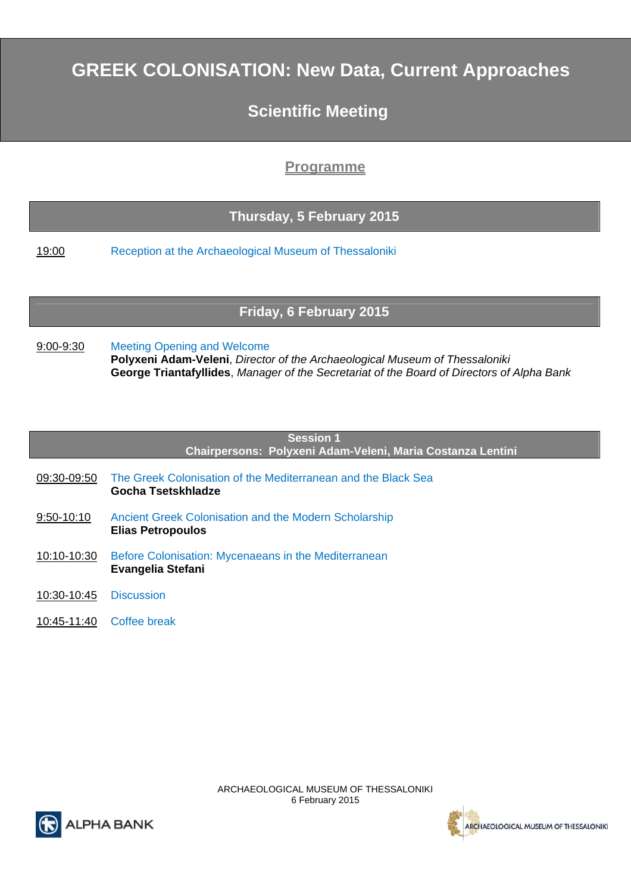# **GREEK COLONISATION: New Data, Current Approaches**

## **Scientific Meeting**

## **Programme**

## **Thursday, 5 February 2015**

19:00 Reception at the Archaeological Museum of Thessaloniki

## **Friday, 6 February 2015**

9:00-9:30 Meeting Opening and Welcome **Polyxeni Adam-Veleni**, *Director of the Archaeological Museum of Thessaloniki* **George Triantafyllides**, *Manager of the Secretariat of the Board of Directors of Alpha Bank*

| <b>Session 1</b><br>Chairpersons: Polyxeni Adam-Veleni, Maria Costanza Lentini |                                                                                     |  |  |  |
|--------------------------------------------------------------------------------|-------------------------------------------------------------------------------------|--|--|--|
|                                                                                |                                                                                     |  |  |  |
| 09:30-09:50                                                                    | The Greek Colonisation of the Mediterranean and the Black Sea<br>Gocha Tsetskhladze |  |  |  |
| 9:50-10:10                                                                     | Ancient Greek Colonisation and the Modern Scholarship<br><b>Elias Petropoulos</b>   |  |  |  |
| 10:10-10:30                                                                    | Before Colonisation: Mycenaeans in the Mediterranean<br><b>Evangelia Stefani</b>    |  |  |  |
| 10:30-10:45                                                                    | <b>Discussion</b>                                                                   |  |  |  |
| 10:45-11:40                                                                    | Coffee break                                                                        |  |  |  |
|                                                                                |                                                                                     |  |  |  |



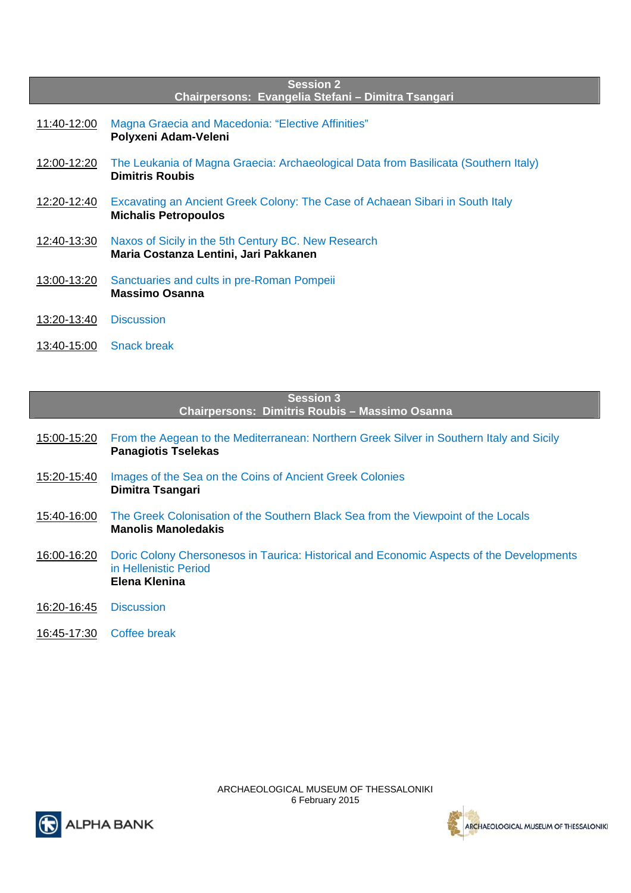| <b>Session 2</b><br>Chairpersons: Evangelia Stefani - Dimitra Tsangari |                                                                                                               |  |  |  |
|------------------------------------------------------------------------|---------------------------------------------------------------------------------------------------------------|--|--|--|
| 11:40-12:00                                                            | Magna Graecia and Macedonia: "Elective Affinities"<br>Polyxeni Adam-Veleni                                    |  |  |  |
| 12:00-12:20                                                            | The Leukania of Magna Graecia: Archaeological Data from Basilicata (Southern Italy)<br><b>Dimitris Roubis</b> |  |  |  |
| 12:20-12:40                                                            | Excavating an Ancient Greek Colony: The Case of Achaean Sibari in South Italy<br><b>Michalis Petropoulos</b>  |  |  |  |
| 12:40-13:30                                                            | Naxos of Sicily in the 5th Century BC. New Research<br>Maria Costanza Lentini, Jari Pakkanen                  |  |  |  |
| <u>13:00-13:20</u>                                                     | Sanctuaries and cults in pre-Roman Pompeii<br><b>Massimo Osanna</b>                                           |  |  |  |
| 13:20-13:40                                                            | <b>Discussion</b>                                                                                             |  |  |  |
| 13:40-15:00                                                            | <b>Snack break</b>                                                                                            |  |  |  |

| <b>Session 3</b><br>Chairpersons: Dimitris Roubis - Massimo Osanna |                                                                                                                                    |  |  |
|--------------------------------------------------------------------|------------------------------------------------------------------------------------------------------------------------------------|--|--|
| 15:00-15:20                                                        | From the Aegean to the Mediterranean: Northern Greek Silver in Southern Italy and Sicily<br><b>Panagiotis Tselekas</b>             |  |  |
| 15:20-15:40                                                        | Images of the Sea on the Coins of Ancient Greek Colonies<br>Dimitra Tsangari                                                       |  |  |
| 15:40-16:00                                                        | The Greek Colonisation of the Southern Black Sea from the Viewpoint of the Locals<br><b>Manolis Manoledakis</b>                    |  |  |
| 16:00-16:20                                                        | Doric Colony Chersonesos in Taurica: Historical and Economic Aspects of the Developments<br>in Hellenistic Period<br>Elena Klenina |  |  |
| 16:20-16:45                                                        | <b>Discussion</b>                                                                                                                  |  |  |
| 16:45-17:30                                                        | Coffee break                                                                                                                       |  |  |



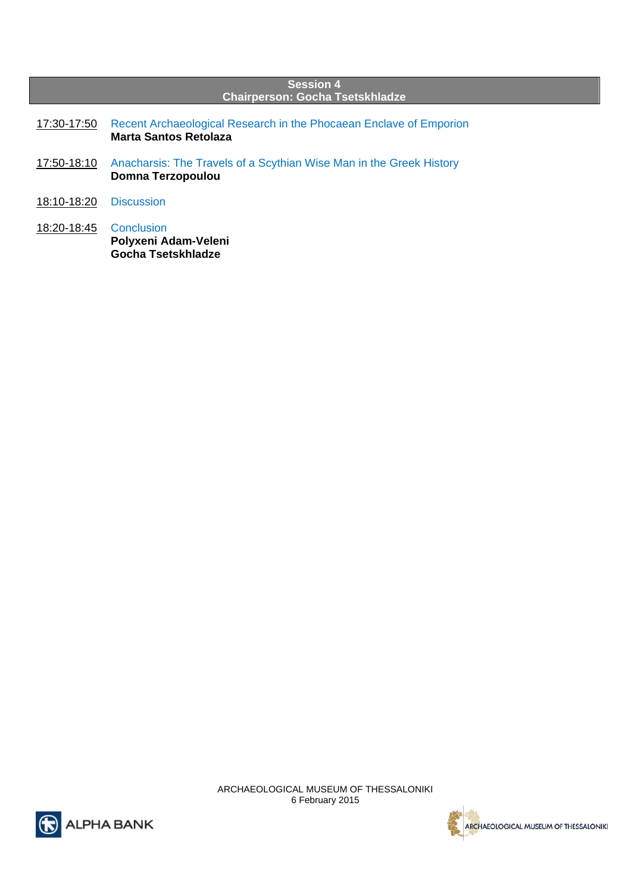| <b>Session 4</b><br><b>Chairperson: Gocha Tsetskhladze</b> |                                                                                             |  |  |  |
|------------------------------------------------------------|---------------------------------------------------------------------------------------------|--|--|--|
| 17:30-17:50                                                | Recent Archaeological Research in the Phocaean Enclave of Emporion<br>Marta Santos Retolaza |  |  |  |
| 17:50-18:10                                                | Anacharsis: The Travels of a Scythian Wise Man in the Greek History<br>Domna Terzopoulou    |  |  |  |
| 18:10-18:20                                                | <b>Discussion</b>                                                                           |  |  |  |
| 18:20-18:45                                                | Conclusion<br>Polyxeni Adam-Veleni<br>Gocha Tsetskhladze                                    |  |  |  |

ARCHAEOLOGICAL MUSEUM OF THESSALONIKI 6 February 2015



ARCHAEOLOGICAL MUSEUM OF THESSALONIKI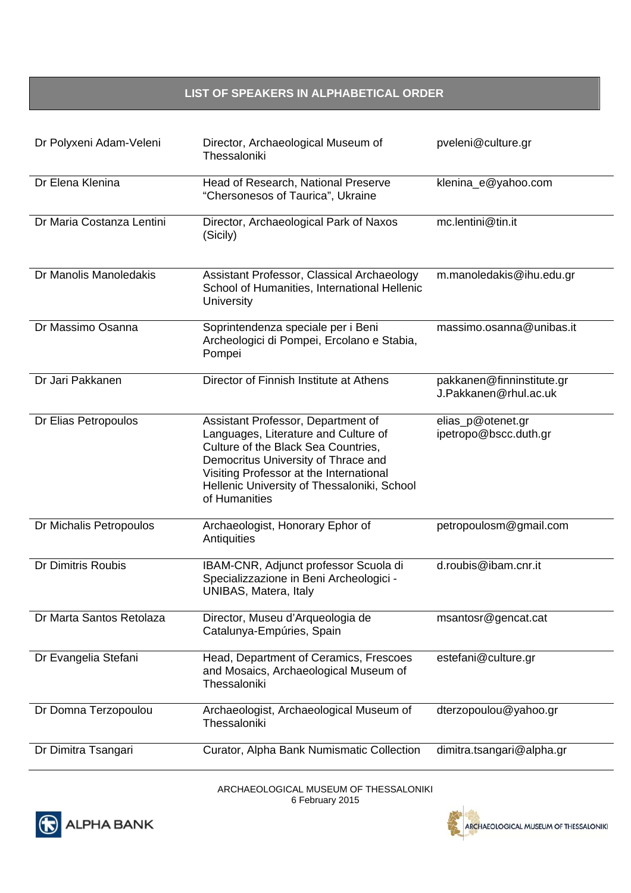### **LIST OF SPEAKERS IN ALPHABETICAL ORDER**

| Dr Polyxeni Adam-Veleni   | Director, Archaeological Museum of<br>Thessaloniki                                                                                                                                                                                                                  | pveleni@culture.gr                                 |
|---------------------------|---------------------------------------------------------------------------------------------------------------------------------------------------------------------------------------------------------------------------------------------------------------------|----------------------------------------------------|
| Dr Elena Klenina          | Head of Research, National Preserve<br>"Chersonesos of Taurica", Ukraine                                                                                                                                                                                            | klenina_e@yahoo.com                                |
| Dr Maria Costanza Lentini | Director, Archaeological Park of Naxos<br>(Sicily)                                                                                                                                                                                                                  | mc.lentini@tin.it                                  |
| Dr Manolis Manoledakis    | Assistant Professor, Classical Archaeology<br>School of Humanities, International Hellenic<br>University                                                                                                                                                            | m.manoledakis@ihu.edu.gr                           |
| Dr Massimo Osanna         | Soprintendenza speciale per i Beni<br>Archeologici di Pompei, Ercolano e Stabia,<br>Pompei                                                                                                                                                                          | massimo.osanna@unibas.it                           |
| Dr Jari Pakkanen          | Director of Finnish Institute at Athens                                                                                                                                                                                                                             | pakkanen@finninstitute.gr<br>J.Pakkanen@rhul.ac.uk |
| Dr Elias Petropoulos      | Assistant Professor, Department of<br>Languages, Literature and Culture of<br>Culture of the Black Sea Countries,<br>Democritus University of Thrace and<br>Visiting Professor at the International<br>Hellenic University of Thessaloniki, School<br>of Humanities | elias_p@otenet.gr<br>ipetropo@bscc.duth.gr         |
| Dr Michalis Petropoulos   | Archaeologist, Honorary Ephor of<br>Antiquities                                                                                                                                                                                                                     | petropoulosm@gmail.com                             |
| Dr Dimitris Roubis        | IBAM-CNR, Adjunct professor Scuola di<br>Specializzazione in Beni Archeologici -<br>UNIBAS, Matera, Italy                                                                                                                                                           | d.roubis@ibam.cnr.it                               |
| Dr Marta Santos Retolaza  | Director, Museu d'Arqueologia de<br>Catalunya-Empúries, Spain                                                                                                                                                                                                       | msantosr@gencat.cat                                |
| Dr Evangelia Stefani      | Head, Department of Ceramics, Frescoes<br>and Mosaics, Archaeological Museum of<br>Thessaloniki                                                                                                                                                                     | estefani@culture.gr                                |
| Dr Domna Terzopoulou      | Archaeologist, Archaeological Museum of<br>Thessaloniki                                                                                                                                                                                                             | dterzopoulou@yahoo.gr                              |
| Dr Dimitra Tsangari       | Curator, Alpha Bank Numismatic Collection                                                                                                                                                                                                                           | dimitra.tsangari@alpha.gr                          |



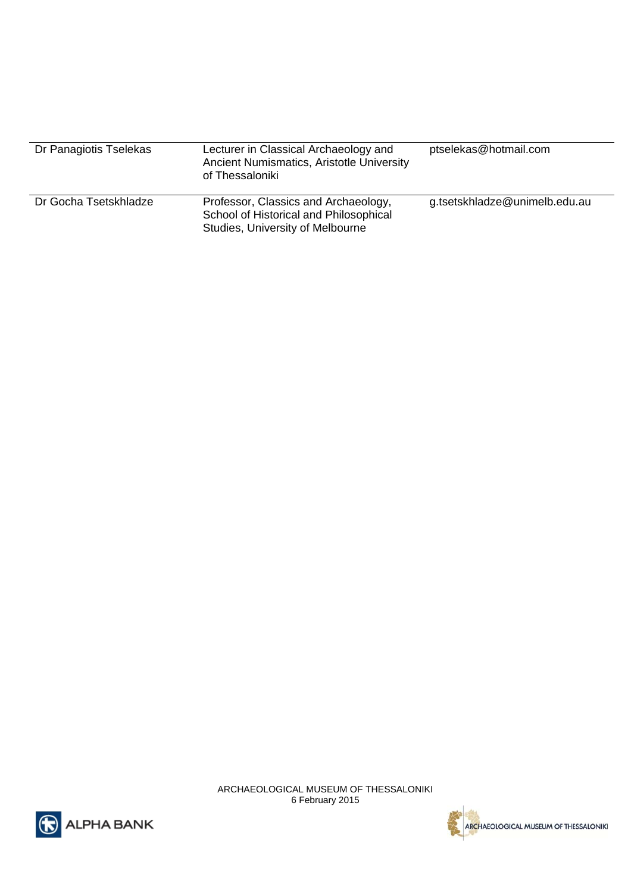| Dr Panagiotis Tselekas | Lecturer in Classical Archaeology and<br>Ancient Numismatics, Aristotle University<br>of Thessaloniki              | ptselekas@hotmail.com         |
|------------------------|--------------------------------------------------------------------------------------------------------------------|-------------------------------|
| Dr Gocha Tsetskhladze  | Professor, Classics and Archaeology,<br>School of Historical and Philosophical<br>Studies, University of Melbourne | g.tsetskhladze@unimelb.edu.au |